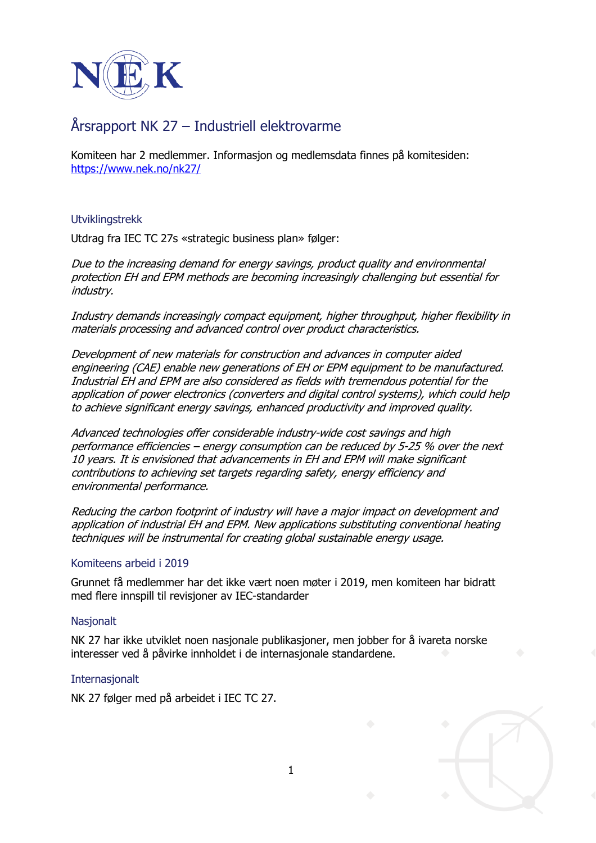

# Årsrapport NK 27 – Industriell elektrovarme

Komiteen har 2 medlemmer. Informasjon og medlemsdata finnes på komitesiden: <https://www.nek.no/nk27/>

Utviklingstrekk

Utdrag fra IEC TC 27s «strategic business plan» følger:

Due to the increasing demand for energy savings, product quality and environmental protection EH and EPM methods are becoming increasingly challenging but essential for industry.

Industry demands increasingly compact equipment, higher throughput, higher flexibility in materials processing and advanced control over product characteristics.

Development of new materials for construction and advances in computer aided engineering (CAE) enable new generations of EH or EPM equipment to be manufactured. Industrial EH and EPM are also considered as fields with tremendous potential for the application of power electronics (converters and digital control systems), which could help to achieve significant energy savings, enhanced productivity and improved quality.

Advanced technologies offer considerable industry-wide cost savings and high performance efficiencies – energy consumption can be reduced by 5-25 % over the next 10 years. It is envisioned that advancements in EH and EPM will make significant contributions to achieving set targets regarding safety, energy efficiency and environmental performance.

Reducing the carbon footprint of industry will have a major impact on development and application of industrial EH and EPM. New applications substituting conventional heating techniques will be instrumental for creating global sustainable energy usage.

## Komiteens arbeid i 2019

Grunnet få medlemmer har det ikke vært noen møter i 2019, men komiteen har bidratt med flere innspill til revisjoner av IEC-standarder

#### **Nasjonalt**

NK 27 har ikke utviklet noen nasjonale publikasjoner, men jobber for å ivareta norske interesser ved å påvirke innholdet i de internasjonale standardene.

1

#### Internasjonalt

NK 27 følger med på arbeidet i IEC TC 27.